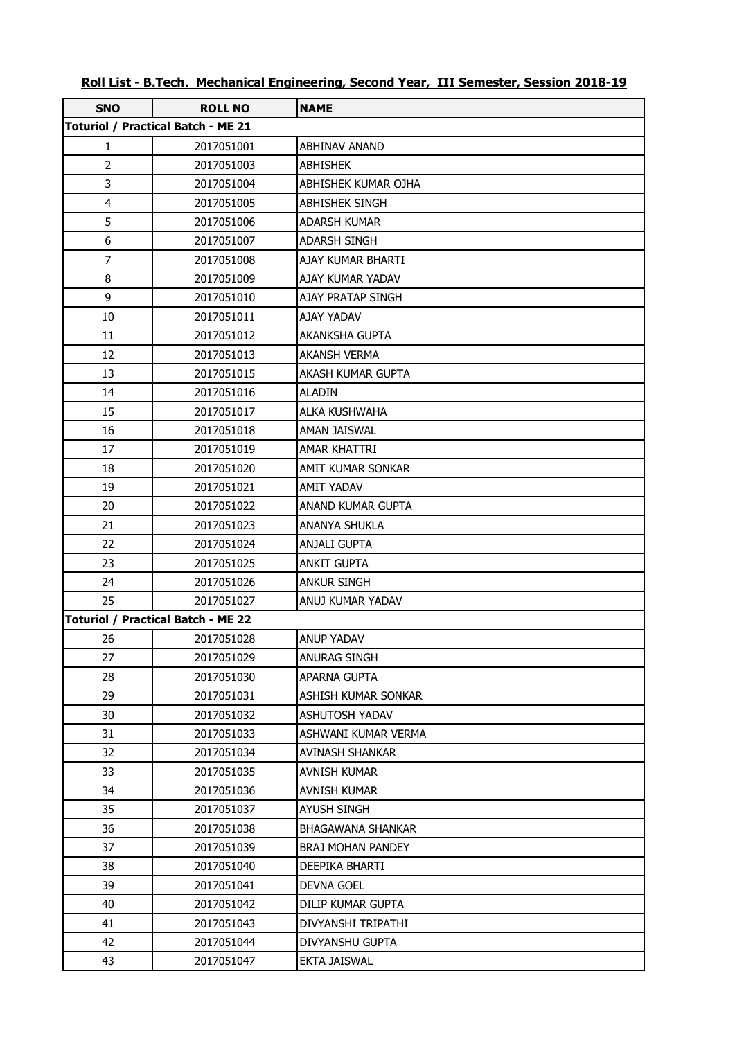| <b>SNO</b>              | <b>ROLL NO</b><br><b>Toturiol / Practical Batch - ME 21</b> | <b>NAME</b>              |
|-------------------------|-------------------------------------------------------------|--------------------------|
| $\mathbf{1}$            |                                                             | <b>ABHINAV ANAND</b>     |
| $\overline{2}$          | 2017051001                                                  |                          |
| 3                       | 2017051003                                                  | <b>ABHISHEK</b>          |
|                         | 2017051004                                                  | ABHISHEK KUMAR OJHA      |
| $\overline{\mathbf{4}}$ | 2017051005                                                  | <b>ABHISHEK SINGH</b>    |
| 5                       | 2017051006                                                  | ADARSH KUMAR             |
| 6                       | 2017051007                                                  | <b>ADARSH SINGH</b>      |
| $\overline{7}$          | 2017051008                                                  | AJAY KUMAR BHARTI        |
| 8                       | 2017051009                                                  | AJAY KUMAR YADAV         |
| 9                       | 2017051010                                                  | AJAY PRATAP SINGH        |
| 10                      | 2017051011                                                  | <b>AJAY YADAV</b>        |
| 11                      | 2017051012                                                  | AKANKSHA GUPTA           |
| 12                      | 2017051013                                                  | <b>AKANSH VERMA</b>      |
| 13                      | 2017051015                                                  | AKASH KUMAR GUPTA        |
| 14                      | 2017051016                                                  | ALADIN                   |
| 15                      | 2017051017                                                  | ALKA KUSHWAHA            |
| 16                      | 2017051018                                                  | AMAN JAISWAL             |
| 17                      | 2017051019                                                  | <b>AMAR KHATTRI</b>      |
| 18                      | 2017051020                                                  | AMIT KUMAR SONKAR        |
| 19                      | 2017051021                                                  | AMIT YADAV               |
| 20                      | 2017051022                                                  | ANAND KUMAR GUPTA        |
| 21                      | 2017051023                                                  | ANANYA SHUKLA            |
| 22                      | 2017051024                                                  | <b>ANJALI GUPTA</b>      |
| 23                      | 2017051025                                                  | <b>ANKIT GUPTA</b>       |
| 24                      | 2017051026                                                  | <b>ANKUR SINGH</b>       |
| 25                      | 2017051027                                                  | ANUJ KUMAR YADAV         |
|                         | <b>Toturiol / Practical Batch - ME 22</b>                   |                          |
| 26                      | 2017051028                                                  | <b>ANUP YADAV</b>        |
| 27                      | 2017051029                                                  | ANURAG SINGH             |
| 28                      | 2017051030                                                  | APARNA GUPTA             |
| 29                      | 2017051031                                                  | ASHISH KUMAR SONKAR      |
| 30                      | 2017051032                                                  | <b>ASHUTOSH YADAV</b>    |
| 31                      | 2017051033                                                  | ASHWANI KUMAR VERMA      |
| 32                      | 2017051034                                                  | AVINASH SHANKAR          |
| 33                      | 2017051035                                                  | <b>AVNISH KUMAR</b>      |
| 34                      | 2017051036                                                  | <b>AVNISH KUMAR</b>      |
| 35                      | 2017051037                                                  | AYUSH SINGH              |
| 36                      | 2017051038                                                  | <b>BHAGAWANA SHANKAR</b> |
| 37                      | 2017051039                                                  | BRAJ MOHAN PANDEY        |
| 38                      | 2017051040                                                  | DEEPIKA BHARTI           |
| 39                      | 2017051041                                                  | <b>DEVNA GOEL</b>        |
| 40                      | 2017051042                                                  | DILIP KUMAR GUPTA        |
| 41                      | 2017051043                                                  | DIVYANSHI TRIPATHI       |
| 42                      | 2017051044                                                  | DIVYANSHU GUPTA          |
| 43                      | 2017051047                                                  | EKTA JAISWAL             |

| Roll List - B.Tech. Mechanical Engineering, Second Year, III Semester, Session 2018-19 |
|----------------------------------------------------------------------------------------|
|----------------------------------------------------------------------------------------|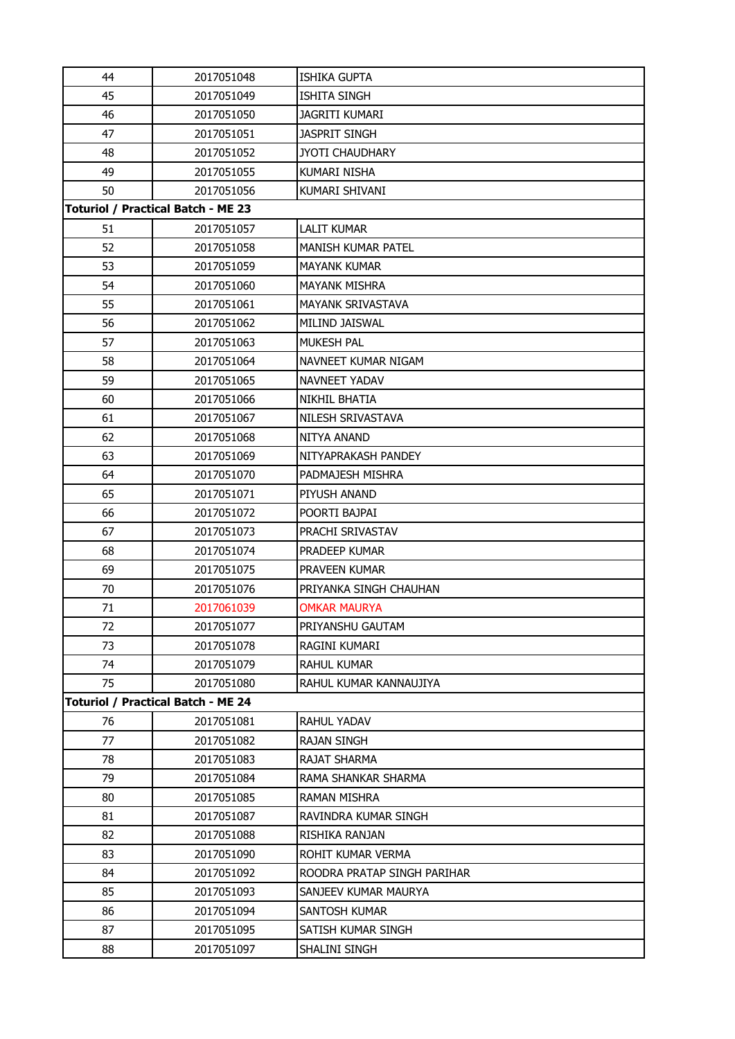| 44                                        | 2017051048                                | <b>ISHIKA GUPTA</b>         |  |  |
|-------------------------------------------|-------------------------------------------|-----------------------------|--|--|
| 45                                        | 2017051049                                | <b>ISHITA SINGH</b>         |  |  |
| 46                                        | 2017051050                                | <b>JAGRITI KUMARI</b>       |  |  |
| 47                                        | 2017051051                                | <b>JASPRIT SINGH</b>        |  |  |
| 48                                        | 2017051052                                | <b>JYOTI CHAUDHARY</b>      |  |  |
| 49                                        | 2017051055                                | <b>KUMARI NISHA</b>         |  |  |
| 50                                        | 2017051056                                | KUMARI SHIVANI              |  |  |
|                                           | <b>Toturiol / Practical Batch - ME 23</b> |                             |  |  |
| 51                                        | 2017051057                                | <b>LALIT KUMAR</b>          |  |  |
| 52                                        | 2017051058                                | <b>MANISH KUMAR PATEL</b>   |  |  |
| 53                                        | 2017051059                                | <b>MAYANK KUMAR</b>         |  |  |
| 54                                        | 2017051060                                | <b>MAYANK MISHRA</b>        |  |  |
| 55                                        | 2017051061                                | <b>MAYANK SRIVASTAVA</b>    |  |  |
| 56                                        | 2017051062                                | <b>MILIND JAISWAL</b>       |  |  |
| 57                                        | 2017051063                                | <b>MUKESH PAL</b>           |  |  |
| 58                                        | 2017051064                                | NAVNEET KUMAR NIGAM         |  |  |
| 59                                        | 2017051065                                | NAVNEET YADAV               |  |  |
| 60                                        | 2017051066                                | NIKHIL BHATIA               |  |  |
| 61                                        | 2017051067                                | NILESH SRIVASTAVA           |  |  |
| 62                                        | 2017051068                                | NITYA ANAND                 |  |  |
| 63                                        | 2017051069                                | NITYAPRAKASH PANDEY         |  |  |
| 64                                        | 2017051070                                | PADMAJESH MISHRA            |  |  |
| 65                                        | 2017051071                                | PIYUSH ANAND                |  |  |
| 66                                        | 2017051072                                | POORTI BAJPAI               |  |  |
| 67                                        | 2017051073                                | PRACHI SRIVASTAV            |  |  |
| 68                                        | 2017051074                                | PRADEEP KUMAR               |  |  |
| 69                                        | 2017051075                                | <b>PRAVEEN KUMAR</b>        |  |  |
| 70                                        | 2017051076                                | PRIYANKA SINGH CHAUHAN      |  |  |
| 71                                        | 2017061039                                | <b>OMKAR MAURYA</b>         |  |  |
| 72                                        | 2017051077                                | PRIYANSHU GAUTAM            |  |  |
| 73                                        | 2017051078                                | RAGINI KUMARI               |  |  |
| 74                                        | 2017051079                                | <b>RAHUL KUMAR</b>          |  |  |
| 75                                        | 2017051080                                | RAHUL KUMAR KANNAUJIYA      |  |  |
| <b>Toturiol / Practical Batch - ME 24</b> |                                           |                             |  |  |
| 76                                        | 2017051081                                | <b>RAHUL YADAV</b>          |  |  |
| 77                                        | 2017051082                                | <b>RAJAN SINGH</b>          |  |  |
| 78                                        | 2017051083                                | <b>RAJAT SHARMA</b>         |  |  |
| 79                                        | 2017051084                                | RAMA SHANKAR SHARMA         |  |  |
| 80                                        | 2017051085                                | RAMAN MISHRA                |  |  |
| 81                                        | 2017051087                                | RAVINDRA KUMAR SINGH        |  |  |
| 82                                        | 2017051088                                | RISHIKA RANJAN              |  |  |
| 83                                        | 2017051090                                | ROHIT KUMAR VERMA           |  |  |
| 84                                        | 2017051092                                | ROODRA PRATAP SINGH PARIHAR |  |  |
| 85                                        | 2017051093                                | SANJEEV KUMAR MAURYA        |  |  |
| 86                                        | 2017051094                                | <b>SANTOSH KUMAR</b>        |  |  |
| 87                                        | 2017051095                                | SATISH KUMAR SINGH          |  |  |
| 88                                        | 2017051097                                | SHALINI SINGH               |  |  |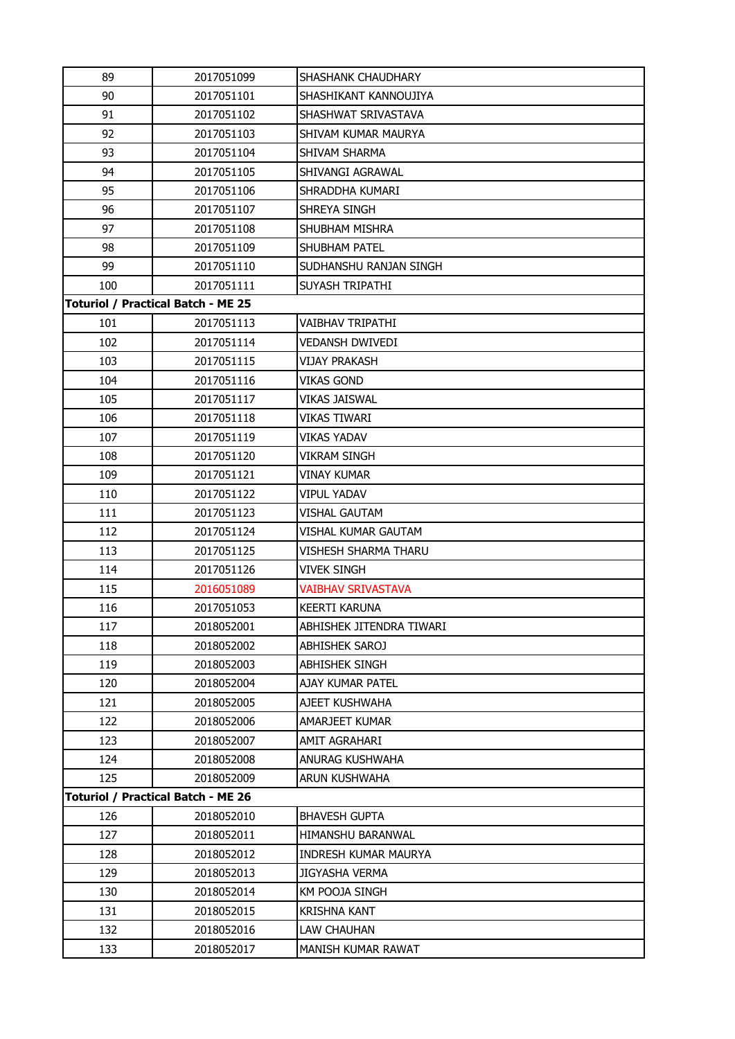| 89  | 2017051099                                | SHASHANK CHAUDHARY          |
|-----|-------------------------------------------|-----------------------------|
| 90  | 2017051101                                | SHASHIKANT KANNOUJIYA       |
| 91  | 2017051102                                | SHASHWAT SRIVASTAVA         |
| 92  | 2017051103                                | SHIVAM KUMAR MAURYA         |
| 93  | 2017051104                                | SHIVAM SHARMA               |
| 94  | 2017051105                                | SHIVANGI AGRAWAL            |
| 95  | 2017051106                                | SHRADDHA KUMARI             |
| 96  | 2017051107                                | SHREYA SINGH                |
| 97  | 2017051108                                | <b>SHUBHAM MISHRA</b>       |
| 98  | 2017051109                                | <b>SHUBHAM PATEL</b>        |
| 99  | 2017051110                                | SUDHANSHU RANJAN SINGH      |
| 100 | 2017051111                                | SUYASH TRIPATHI             |
|     | <b>Toturiol / Practical Batch - ME 25</b> |                             |
| 101 | 2017051113                                | VAIBHAV TRIPATHI            |
| 102 | 2017051114                                | VEDANSH DWIVEDI             |
| 103 | 2017051115                                | VIJAY PRAKASH               |
| 104 | 2017051116                                | <b>VIKAS GOND</b>           |
| 105 | 2017051117                                | <b>VIKAS JAISWAL</b>        |
| 106 | 2017051118                                | <b>VIKAS TIWARI</b>         |
| 107 | 2017051119                                | <b>VIKAS YADAV</b>          |
| 108 | 2017051120                                | <b>VIKRAM SINGH</b>         |
| 109 | 2017051121                                | VINAY KUMAR                 |
| 110 | 2017051122                                | <b>VIPUL YADAV</b>          |
| 111 | 2017051123                                | VISHAL GAUTAM               |
| 112 | 2017051124                                | VISHAL KUMAR GAUTAM         |
| 113 | 2017051125                                | VISHESH SHARMA THARU        |
| 114 | 2017051126                                | VIVEK SINGH                 |
| 115 | 2016051089                                | <b>VAIBHAV SRIVASTAVA</b>   |
| 116 | 2017051053                                | <b>KEERTI KARUNA</b>        |
| 117 | 2018052001                                | ABHISHEK JITENDRA TIWARI    |
| 118 | 2018052002                                | <b>ABHISHEK SAROJ</b>       |
| 119 | 2018052003                                | <b>ABHISHEK SINGH</b>       |
| 120 | 2018052004                                | AJAY KUMAR PATEL            |
| 121 | 2018052005                                | AJEET KUSHWAHA              |
| 122 | 2018052006                                | AMARJEET KUMAR              |
| 123 | 2018052007                                | AMIT AGRAHARI               |
| 124 | 2018052008                                | ANURAG KUSHWAHA             |
| 125 | 2018052009                                | ARUN KUSHWAHA               |
|     | <b>Toturiol / Practical Batch - ME 26</b> |                             |
| 126 | 2018052010                                | <b>BHAVESH GUPTA</b>        |
| 127 | 2018052011                                | <b>HIMANSHU BARANWAL</b>    |
| 128 | 2018052012                                | <b>INDRESH KUMAR MAURYA</b> |
| 129 | 2018052013                                | <b>JIGYASHA VERMA</b>       |
| 130 | 2018052014                                | KM POOJA SINGH              |
| 131 | 2018052015                                | <b>KRISHNA KANT</b>         |
| 132 | 2018052016                                | LAW CHAUHAN                 |
| 133 | 2018052017                                | MANISH KUMAR RAWAT          |